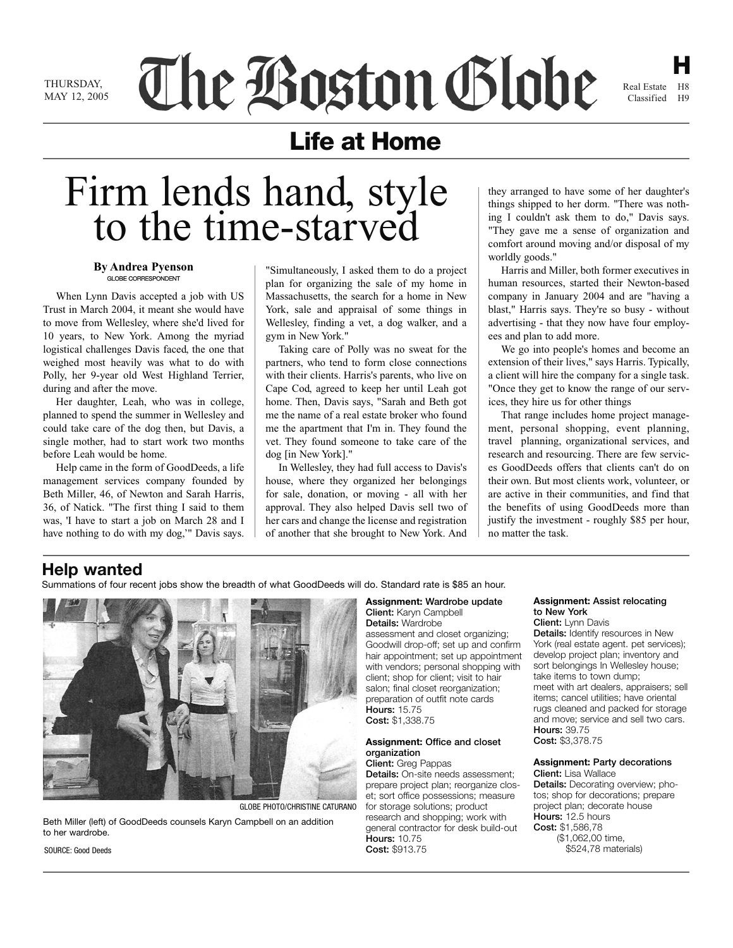THI IR SDAY MAY 12, 2005 The Boston Globe

**H** Real Estate H8 Classified H9

## **Life at Home**

# Firm lends hand, style to the time-starved

### **By Andrea Pyenson** GLOBE CORRESPONDENT

When Lynn Davis accepted a job with US Trust in March 2004, it meant she would have to move from Wellesley, where she'd lived for 10 years, to New York. Among the myriad logistical challenges Davis faced, the one that weighed most heavily was what to do with Polly, her 9-year old West Highland Terrier, during and after the move.

Her daughter, Leah, who was in college, planned to spend the summer in Wellesley and could take care of the dog then, but Davis, a single mother, had to start work two months before Leah would be home.

Help came in the form of GoodDeeds, a life management services company founded by Beth Miller, 46, of Newton and Sarah Harris, 36, of Natick. "The first thing I said to them was, 'I have to start a job on March 28 and I have nothing to do with my dog,'" Davis says.

"Simultaneously, I asked them to do a project plan for organizing the sale of my home in Massachusetts, the search for a home in New York, sale and appraisal of some things in Wellesley, finding a vet, a dog walker, and a gym in New York."

Taking care of Polly was no sweat for the partners, who tend to form close connections with their clients. Harris's parents, who live on Cape Cod, agreed to keep her until Leah got home. Then, Davis says, "Sarah and Beth got me the name of a real estate broker who found me the apartment that I'm in. They found the vet. They found someone to take care of the dog [in New York]."

In Wellesley, they had full access to Davis's house, where they organized her belongings for sale, donation, or moving - all with her approval. They also helped Davis sell two of her cars and change the license and registration of another that she brought to New York. And they arranged to have some of her daughter's things shipped to her dorm. "There was nothing I couldn't ask them to do," Davis says. "They gave me a sense of organization and comfort around moving and/or disposal of my worldly goods."

Harris and Miller, both former executives in human resources, started their Newton-based company in January 2004 and are "having a blast," Harris says. They're so busy - without advertising - that they now have four employees and plan to add more.

We go into people's homes and become an extension of their lives," says Harris. Typically, a client will hire the company for a single task. "Once they get to know the range of our services, they hire us for other things

That range includes home project management, personal shopping, event planning, travel planning, organizational services, and research and resourcing. There are few services GoodDeeds offers that clients can't do on their own. But most clients work, volunteer, or are active in their communities, and find that the benefits of using GoodDeeds more than justify the investment - roughly \$85 per hour, no matter the task.

## **Help wanted**

Summations of four recent jobs show the breadth of what GoodDeeds will do. Standard rate is \$85 an hour.



GLOBE PHOTO/CHRISTlNE CATURANO

Beth Miller (left) of GoodDeeds counsels Karyn Campbell on an addition to her wardrobe.

**Assignment:** Wardrobe update Client: Karyn Campbell

Details: Wardrobe assessment and closet organizing; Goodwill drop-off; set up and confirm hair appointment; set up appointment with vendors; personal shopping with client; shop for client; visit to hair salon; final closet reorganization; preparation of outfit note cards Hours: 15.75 Cost: \$1,338.75

## **Assignment:** Office and closet organization

Client: Greg Pappas Details: On-site needs assessment; prepare project plan; reorganize closet; sort office possessions; measure for storage solutions; product research and shopping; work with general contractor for desk build-out **Hours: 10.75** Cost: \$913.75

#### **Assignment:** Assist relocating to New York Client: Lynn Davis

Details: Identify resources in New York (real estate agent. pet services); develop project plan; inventory and sort belongings In Wellesley house; take items to town dump; meet with art dealers, appraisers; sell items; cancel utilities; have oriental rugs cleaned and packed for storage and move; service and sell two cars. Hours: 39.75 Cost: \$3,378.75

**Assignment:** Party decorations

Client: Lisa Wallace Details: Decorating overview; photos; shop for decorations; prepare project plan; decorate house Hours: 12.5 hours Cost: \$1,586,78 (\$1,062,00 time, \$524,78 materials)

SOURCE: Good Deeds